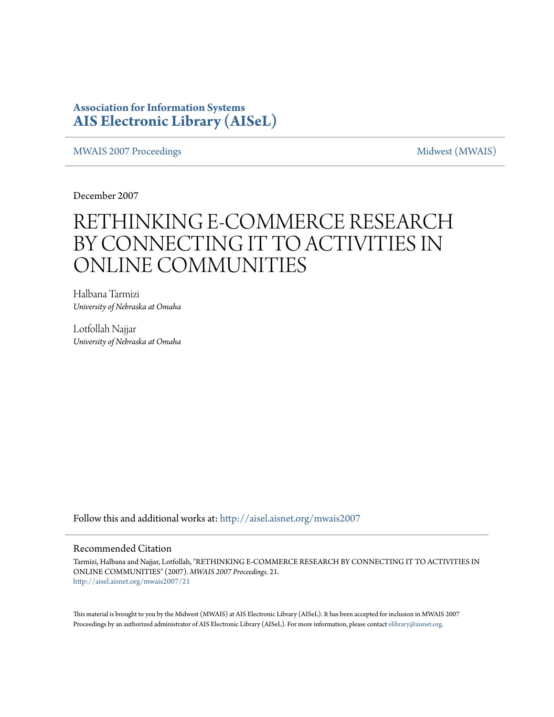### **Association for Information Systems [AIS Electronic Library \(AISeL\)](http://aisel.aisnet.org?utm_source=aisel.aisnet.org%2Fmwais2007%2F21&utm_medium=PDF&utm_campaign=PDFCoverPages)**

[MWAIS 2007 Proceedings](http://aisel.aisnet.org/mwais2007?utm_source=aisel.aisnet.org%2Fmwais2007%2F21&utm_medium=PDF&utm_campaign=PDFCoverPages) and the matrix of the [Midwest \(MWAIS\)](http://aisel.aisnet.org/mwais?utm_source=aisel.aisnet.org%2Fmwais2007%2F21&utm_medium=PDF&utm_campaign=PDFCoverPages)

December 2007

# RETHINKING E-COMMERCE RESEARCH BY CONNECTING IT TO ACTIVITIES IN ONLINE COMMUNITIES

Halbana Tarmizi *University of Nebraska at Omaha*

Lotfollah Najjar *University of Nebraska at Omaha*

Follow this and additional works at: [http://aisel.aisnet.org/mwais2007](http://aisel.aisnet.org/mwais2007?utm_source=aisel.aisnet.org%2Fmwais2007%2F21&utm_medium=PDF&utm_campaign=PDFCoverPages)

#### Recommended Citation

Tarmizi, Halbana and Najjar, Lotfollah, "RETHINKING E-COMMERCE RESEARCH BY CONNECTING IT TO ACTIVITIES IN ONLINE COMMUNITIES" (2007). *MWAIS 2007 Proceedings*. 21. [http://aisel.aisnet.org/mwais2007/21](http://aisel.aisnet.org/mwais2007/21?utm_source=aisel.aisnet.org%2Fmwais2007%2F21&utm_medium=PDF&utm_campaign=PDFCoverPages)

This material is brought to you by the Midwest (MWAIS) at AIS Electronic Library (AISeL). It has been accepted for inclusion in MWAIS 2007 Proceedings by an authorized administrator of AIS Electronic Library (AISeL). For more information, please contact [elibrary@aisnet.org](mailto:elibrary@aisnet.org%3E).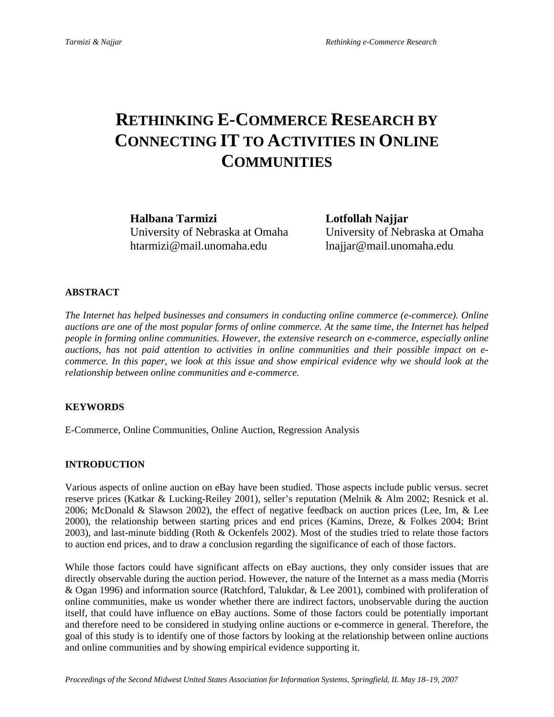## **RETHINKING E-COMMERCE RESEARCH BY CONNECTING IT TO ACTIVITIES IN ONLINE COMMUNITIES**

**Halbana Tarmizi Lotfollah Najjar**  htarmizi@mail.unomaha.edu lnajjar@mail.unomaha.edu

University of Nebraska at Omaha University of Nebraska at Omaha

#### **ABSTRACT**

*The Internet has helped businesses and consumers in conducting online commerce (e-commerce). Online auctions are one of the most popular forms of online commerce. At the same time, the Internet has helped people in forming online communities. However, the extensive research on e-commerce, especially online auctions, has not paid attention to activities in online communities and their possible impact on ecommerce. In this paper, we look at this issue and show empirical evidence why we should look at the relationship between online communities and e-commerce.* 

#### **KEYWORDS**

E-Commerce, Online Communities, Online Auction, Regression Analysis

#### **INTRODUCTION**

Various aspects of online auction on eBay have been studied. Those aspects include public versus. secret reserve prices (Katkar & Lucking-Reiley 2001), seller's reputation (Melnik & Alm 2002; Resnick et al. 2006; McDonald & Slawson 2002), the effect of negative feedback on auction prices (Lee, Im, & Lee 2000), the relationship between starting prices and end prices (Kamins, Dreze, & Folkes 2004; Brint 2003), and last-minute bidding (Roth & Ockenfels 2002). Most of the studies tried to relate those factors to auction end prices, and to draw a conclusion regarding the significance of each of those factors.

While those factors could have significant affects on eBay auctions, they only consider issues that are directly observable during the auction period. However, the nature of the Internet as a mass media (Morris & Ogan 1996) and information source (Ratchford, Talukdar, & Lee 2001), combined with proliferation of online communities, make us wonder whether there are indirect factors, unobservable during the auction itself, that could have influence on eBay auctions. Some of those factors could be potentially important and therefore need to be considered in studying online auctions or e-commerce in general. Therefore, the goal of this study is to identify one of those factors by looking at the relationship between online auctions and online communities and by showing empirical evidence supporting it.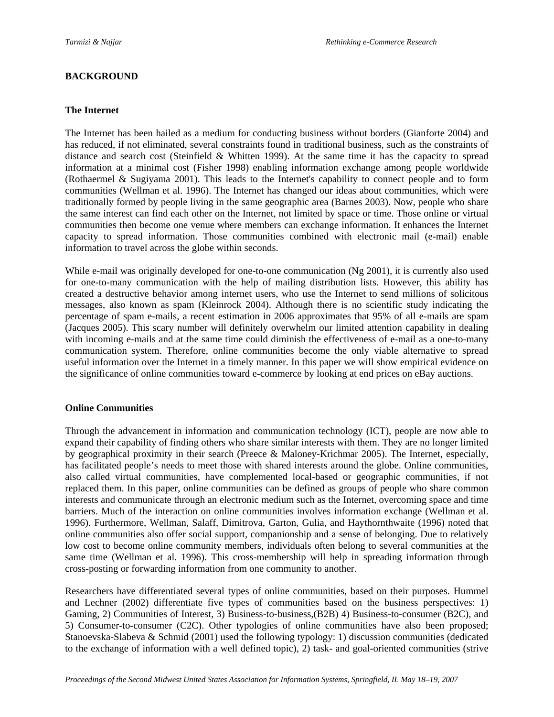#### **BACKGROUND**

#### **The Internet**

The Internet has been hailed as a medium for conducting business without borders (Gianforte 2004) and has reduced, if not eliminated, several constraints found in traditional business, such as the constraints of distance and search cost (Steinfield  $\&$  Whitten 1999). At the same time it has the capacity to spread information at a minimal cost (Fisher 1998) enabling information exchange among people worldwide (Rothaermel & Sugiyama 2001). This leads to the Internet's capability to connect people and to form communities (Wellman et al. 1996). The Internet has changed our ideas about communities, which were traditionally formed by people living in the same geographic area (Barnes 2003). Now, people who share the same interest can find each other on the Internet, not limited by space or time. Those online or virtual communities then become one venue where members can exchange information. It enhances the Internet capacity to spread information. Those communities combined with electronic mail (e-mail) enable information to travel across the globe within seconds.

While e-mail was originally developed for one-to-one communication (Ng 2001), it is currently also used for one-to-many communication with the help of mailing distribution lists. However, this ability has created a destructive behavior among internet users, who use the Internet to send millions of solicitous messages, also known as spam (Kleinrock 2004). Although there is no scientific study indicating the percentage of spam e-mails, a recent estimation in 2006 approximates that 95% of all e-mails are spam (Jacques 2005). This scary number will definitely overwhelm our limited attention capability in dealing with incoming e-mails and at the same time could diminish the effectiveness of e-mail as a one-to-many communication system. Therefore, online communities become the only viable alternative to spread useful information over the Internet in a timely manner. In this paper we will show empirical evidence on the significance of online communities toward e-commerce by looking at end prices on eBay auctions.

#### **Online Communities**

Through the advancement in information and communication technology (ICT), people are now able to expand their capability of finding others who share similar interests with them. They are no longer limited by geographical proximity in their search (Preece & Maloney-Krichmar 2005). The Internet, especially, has facilitated people's needs to meet those with shared interests around the globe. Online communities, also called virtual communities, have complemented local-based or geographic communities, if not replaced them. In this paper, online communities can be defined as groups of people who share common interests and communicate through an electronic medium such as the Internet, overcoming space and time barriers. Much of the interaction on online communities involves information exchange (Wellman et al. 1996). Furthermore, Wellman, Salaff, Dimitrova, Garton, Gulia, and Haythornthwaite (1996) noted that online communities also offer social support, companionship and a sense of belonging. Due to relatively low cost to become online community members, individuals often belong to several communities at the same time (Wellman et al. 1996). This cross-membership will help in spreading information through cross-posting or forwarding information from one community to another.

Researchers have differentiated several types of online communities, based on their purposes. Hummel and Lechner (2002) differentiate five types of communities based on the business perspectives: 1) Gaming, 2) Communities of Interest, 3) Business-to-business,(B2B) 4) Business-to-consumer (B2C), and 5) Consumer-to-consumer (C2C). Other typologies of online communities have also been proposed; Stanoevska-Slabeva & Schmid (2001) used the following typology: 1) discussion communities (dedicated to the exchange of information with a well defined topic), 2) task- and goal-oriented communities (strive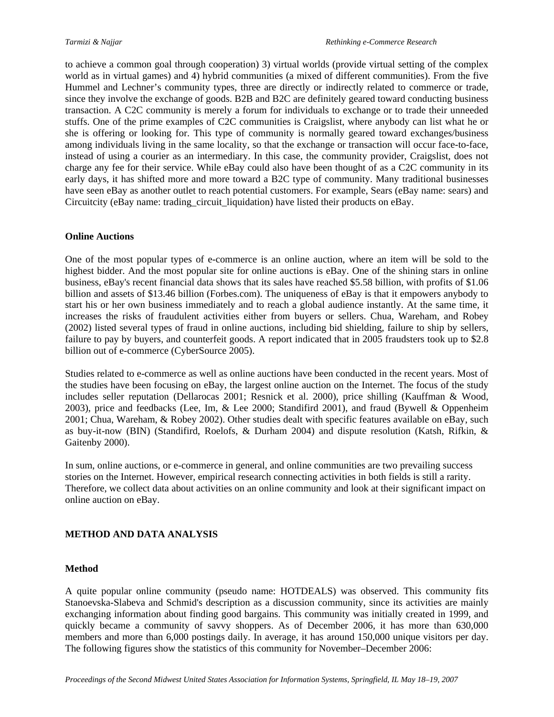to achieve a common goal through cooperation) 3) virtual worlds (provide virtual setting of the complex world as in virtual games) and 4) hybrid communities (a mixed of different communities). From the five Hummel and Lechner's community types, three are directly or indirectly related to commerce or trade, since they involve the exchange of goods. B2B and B2C are definitely geared toward conducting business transaction. A C2C community is merely a forum for individuals to exchange or to trade their unneeded stuffs. One of the prime examples of C2C communities is Craigslist, where anybody can list what he or she is offering or looking for. This type of community is normally geared toward exchanges/business among individuals living in the same locality, so that the exchange or transaction will occur face-to-face, instead of using a courier as an intermediary. In this case, the community provider, Craigslist, does not charge any fee for their service. While eBay could also have been thought of as a C2C community in its early days, it has shifted more and more toward a B2C type of community. Many traditional businesses have seen eBay as another outlet to reach potential customers. For example, Sears (eBay name: sears) and Circuitcity (eBay name: trading\_circuit\_liquidation) have listed their products on eBay.

#### **Online Auctions**

One of the most popular types of e-commerce is an online auction, where an item will be sold to the highest bidder. And the most popular site for online auctions is eBay. One of the shining stars in online business, eBay's recent financial data shows that its sales have reached \$5.58 billion, with profits of \$1.06 billion and assets of \$13.46 billion (Forbes.com). The uniqueness of eBay is that it empowers anybody to start his or her own business immediately and to reach a global audience instantly. At the same time, it increases the risks of fraudulent activities either from buyers or sellers. Chua, Wareham, and Robey (2002) listed several types of fraud in online auctions, including bid shielding, failure to ship by sellers, failure to pay by buyers, and counterfeit goods. A report indicated that in 2005 fraudsters took up to \$2.8 billion out of e-commerce (CyberSource 2005).

Studies related to e-commerce as well as online auctions have been conducted in the recent years. Most of the studies have been focusing on eBay, the largest online auction on the Internet. The focus of the study includes seller reputation (Dellarocas 2001; Resnick et al. 2000), price shilling (Kauffman & Wood, 2003), price and feedbacks (Lee, Im, & Lee 2000; Standifird 2001), and fraud (Bywell & Oppenheim 2001; Chua, Wareham, & Robey 2002). Other studies dealt with specific features available on eBay, such as buy-it-now (BIN) (Standifird, Roelofs, & Durham 2004) and dispute resolution (Katsh, Rifkin, & Gaitenby 2000).

In sum, online auctions, or e-commerce in general, and online communities are two prevailing success stories on the Internet. However, empirical research connecting activities in both fields is still a rarity. Therefore, we collect data about activities on an online community and look at their significant impact on online auction on eBay.

#### **METHOD AND DATA ANALYSIS**

#### **Method**

A quite popular online community (pseudo name: HOTDEALS) was observed. This community fits Stanoevska-Slabeva and Schmid's description as a discussion community, since its activities are mainly exchanging information about finding good bargains. This community was initially created in 1999, and quickly became a community of savvy shoppers. As of December 2006, it has more than 630,000 members and more than 6,000 postings daily. In average, it has around 150,000 unique visitors per day. The following figures show the statistics of this community for November–December 2006: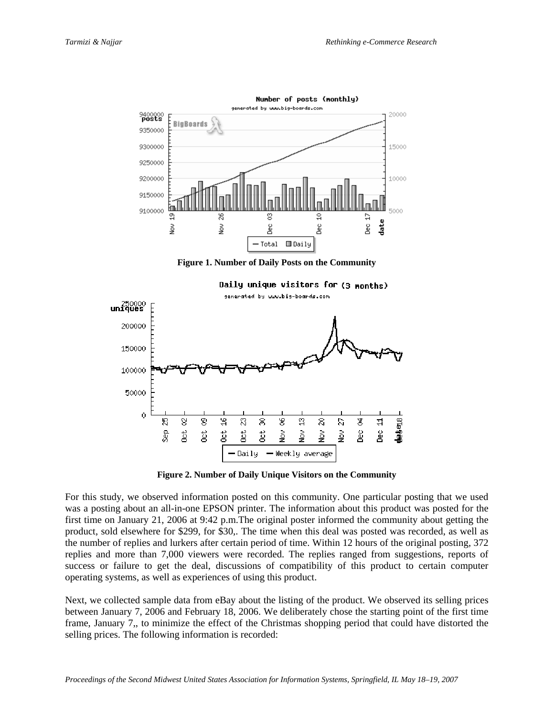

**Figure 1. Number of Daily Posts on the Community** 



**Figure 2. Number of Daily Unique Visitors on the Community** 

For this study, we observed information posted on this community. One particular posting that we used was a posting about an all-in-one EPSON printer. The information about this product was posted for the first time on January 21, 2006 at 9:42 p.m.The original poster informed the community about getting the product, sold elsewhere for \$299, for \$30,. The time when this deal was posted was recorded, as well as the number of replies and lurkers after certain period of time. Within 12 hours of the original posting, 372 replies and more than 7,000 viewers were recorded. The replies ranged from suggestions, reports of success or failure to get the deal, discussions of compatibility of this product to certain computer operating systems, as well as experiences of using this product.

Next, we collected sample data from eBay about the listing of the product. We observed its selling prices between January 7, 2006 and February 18, 2006. We deliberately chose the starting point of the first time frame, January 7,, to minimize the effect of the Christmas shopping period that could have distorted the selling prices. The following information is recorded: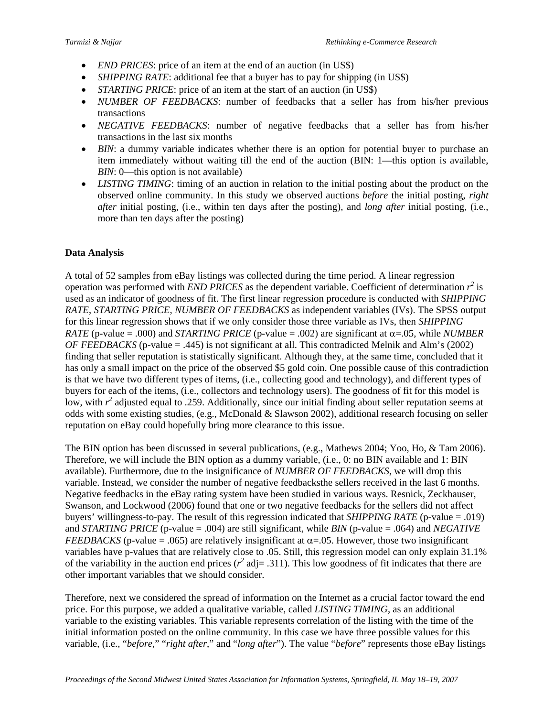- *END PRICES*: price of an item at the end of an auction (in US\$)
- *SHIPPING RATE*: additional fee that a buyer has to pay for shipping (in US\$)
- *STARTING PRICE*: price of an item at the start of an auction (in US\$)
- *NUMBER OF FEEDBACKS*: number of feedbacks that a seller has from his/her previous transactions
- *NEGATIVE FEEDBACKS*: number of negative feedbacks that a seller has from his/her transactions in the last six months
- *BIN*: a dummy variable indicates whether there is an option for potential buyer to purchase an item immediately without waiting till the end of the auction (BIN: 1—this option is available, *BIN*: 0—this option is not available)
- *LISTING TIMING*: timing of an auction in relation to the initial posting about the product on the observed online community. In this study we observed auctions *before* the initial posting, *right after* initial posting, (i.e., within ten days after the posting), and *long after* initial posting, (i.e., more than ten days after the posting)

#### **Data Analysis**

A total of 52 samples from eBay listings was collected during the time period. A linear regression operation was performed with *END PRICES* as the dependent variable. Coefficient of determination  $r^2$  is used as an indicator of goodness of fit. The first linear regression procedure is conducted with *SHIPPING RATE*, *STARTING PRICE*, *NUMBER OF FEEDBACKS* as independent variables (IVs). The SPSS output for this linear regression shows that if we only consider those three variable as IVs, then *SHIPPING RATE* (p-value = .000) and *STARTING PRICE* (p-value = .002) are significant at  $\alpha$ =.05, while *NUMBER OF FEEDBACKS* (p-value = .445) is not significant at all. This contradicted Melnik and Alm's (2002) finding that seller reputation is statistically significant. Although they, at the same time, concluded that it has only a small impact on the price of the observed \$5 gold coin. One possible cause of this contradiction is that we have two different types of items, (i.e., collecting good and technology), and different types of buyers for each of the items, (i.e., collectors and technology users). The goodness of fit for this model is low, with  $r^2$  adjusted equal to .259. Additionally, since our initial finding about seller reputation seems at odds with some existing studies, (e.g., McDonald & Slawson 2002), additional research focusing on seller reputation on eBay could hopefully bring more clearance to this issue.

The BIN option has been discussed in several publications, (e.g., Mathews 2004; Yoo, Ho, & Tam 2006). Therefore, we will include the BIN option as a dummy variable, (i.e., 0: no BIN available and 1: BIN available). Furthermore, due to the insignificance of *NUMBER OF FEEDBACKS*, we will drop this variable. Instead, we consider the number of negative feedbacksthe sellers received in the last 6 months. Negative feedbacks in the eBay rating system have been studied in various ways. Resnick, Zeckhauser, Swanson, and Lockwood (2006) found that one or two negative feedbacks for the sellers did not affect buyers' willingness-to-pay. The result of this regression indicated that *SHIPPING RATE* (p-value = .019) and *STARTING PRICE* (p-value = .004) are still significant, while *BIN* (p-value = .064) and *NEGATIVE FEEDBACKS* (p-value = .065) are relatively insignificant at  $\alpha$ =.05. However, those two insignificant variables have p-values that are relatively close to .05. Still, this regression model can only explain 31.1% of the variability in the auction end prices ( $r^2$  adj= .311). This low goodness of fit indicates that there are other important variables that we should consider.

Therefore, next we considered the spread of information on the Internet as a crucial factor toward the end price. For this purpose, we added a qualitative variable, called *LISTING TIMING*, as an additional variable to the existing variables. This variable represents correlation of the listing with the time of the initial information posted on the online community. In this case we have three possible values for this variable, (i.e., "*before*," "*right after*," and "*long after*"). The value "*before*" represents those eBay listings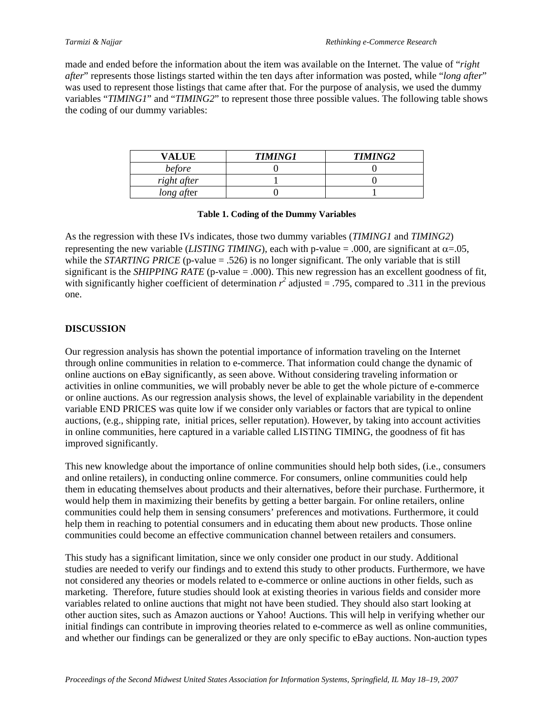made and ended before the information about the item was available on the Internet. The value of "*right after*" represents those listings started within the ten days after information was posted, while "*long after*" was used to represent those listings that came after that. For the purpose of analysis, we used the dummy variables "*TIMING1*" and "*TIMING2*" to represent those three possible values. The following table shows the coding of our dummy variables:

| VALUE       | <b>TIMING1</b> | <b>TIMING2</b> |
|-------------|----------------|----------------|
| before      |                |                |
| right after |                |                |
| long after  |                |                |

#### **Table 1. Coding of the Dummy Variables**

As the regression with these IVs indicates, those two dummy variables (*TIMING1* and *TIMING2*) representing the new variable (*LISTING TIMING*), each with p-value = .000, are significant at  $\alpha$ =.05, while the *STARTING PRICE* (p-value  $= .526$ ) is no longer significant. The only variable that is still significant is the *SHIPPING RATE* (p-value  $= .000$ ). This new regression has an excellent goodness of fit, with significantly higher coefficient of determination  $r^2$  adjusted = .795, compared to .311 in the previous one.

#### **DISCUSSION**

Our regression analysis has shown the potential importance of information traveling on the Internet through online communities in relation to e-commerce. That information could change the dynamic of online auctions on eBay significantly, as seen above. Without considering traveling information or activities in online communities, we will probably never be able to get the whole picture of e-commerce or online auctions. As our regression analysis shows, the level of explainable variability in the dependent variable END PRICES was quite low if we consider only variables or factors that are typical to online auctions, (e.g., shipping rate, initial prices, seller reputation). However, by taking into account activities in online communities, here captured in a variable called LISTING TIMING, the goodness of fit has improved significantly.

This new knowledge about the importance of online communities should help both sides, (i.e., consumers and online retailers), in conducting online commerce. For consumers, online communities could help them in educating themselves about products and their alternatives, before their purchase. Furthermore, it would help them in maximizing their benefits by getting a better bargain. For online retailers, online communities could help them in sensing consumers' preferences and motivations. Furthermore, it could help them in reaching to potential consumers and in educating them about new products. Those online communities could become an effective communication channel between retailers and consumers.

This study has a significant limitation, since we only consider one product in our study. Additional studies are needed to verify our findings and to extend this study to other products. Furthermore, we have not considered any theories or models related to e-commerce or online auctions in other fields, such as marketing. Therefore, future studies should look at existing theories in various fields and consider more variables related to online auctions that might not have been studied. They should also start looking at other auction sites, such as Amazon auctions or Yahoo! Auctions. This will help in verifying whether our initial findings can contribute in improving theories related to e-commerce as well as online communities, and whether our findings can be generalized or they are only specific to eBay auctions. Non-auction types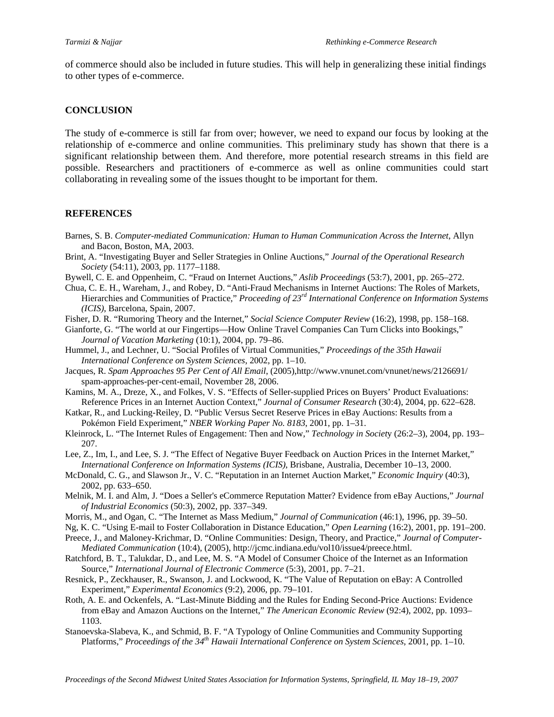of commerce should also be included in future studies. This will help in generalizing these initial findings to other types of e-commerce.

#### **CONCLUSION**

The study of e-commerce is still far from over; however, we need to expand our focus by looking at the relationship of e-commerce and online communities. This preliminary study has shown that there is a significant relationship between them. And therefore, more potential research streams in this field are possible. Researchers and practitioners of e-commerce as well as online communities could start collaborating in revealing some of the issues thought to be important for them.

#### **REFERENCES**

- Barnes, S. B. *Computer-mediated Communication: Human to Human Communication Across the Internet*, Allyn and Bacon, Boston, MA, 2003.
- Brint, A. "Investigating Buyer and Seller Strategies in Online Auctions," *Journal of the Operational Research Society* (54:11), 2003, pp. 1177–1188.
- Bywell, C. E. and Oppenheim, C. "Fraud on Internet Auctions," *Aslib Proceedings* (53:7), 2001, pp. 265–272.
- Chua, C. E. H., Wareham, J., and Robey, D. "Anti-Fraud Mechanisms in Internet Auctions: The Roles of Markets, Hierarchies and Communities of Practice," *Proceeding of 23rd International Conference on Information Systems (ICIS)*, Barcelona, Spain, 2007.
- Fisher, D. R. "Rumoring Theory and the Internet," *Social Science Computer Review* (16:2), 1998, pp. 158–168.
- Gianforte, G. "The world at our Fingertips—How Online Travel Companies Can Turn Clicks into Bookings," *Journal of Vacation Marketing* (10:1), 2004, pp. 79–86.
- Hummel, J., and Lechner, U. "Social Profiles of Virtual Communities," *Proceedings of the 35th Hawaii International Conference on System Sciences*, 2002, pp. 1–10.
- Jacques, R. *Spam Approaches 95 Per Cent of All Email*, (2005),http://www.vnunet.com/vnunet/news/2126691/ spam-approaches-per-cent-email, November 28, 2006.
- Kamins, M. A., Dreze, X., and Folkes, V. S. "Effects of Seller-supplied Prices on Buyers' Product Evaluations: Reference Prices in an Internet Auction Context," *Journal of Consumer Research* (30:4), 2004, pp. 622–628.
- Katkar, R., and Lucking-Reiley, D. "Public Versus Secret Reserve Prices in eBay Auctions: Results from a Pokémon Field Experiment," *NBER Working Paper No. 8183*, 2001, pp. 1–31.
- Kleinrock, L. "The Internet Rules of Engagement: Then and Now," *Technology in Societ*y (26:2–3), 2004, pp. 193– 207.
- Lee, Z., Im, I., and Lee, S. J. "The Effect of Negative Buyer Feedback on Auction Prices in the Internet Market," *International Conference on Information Systems (ICIS)*, Brisbane, Australia, December 10–13, 2000.
- McDonald, C. G., and Slawson Jr., V. C. "Reputation in an Internet Auction Market," *Economic Inquiry* (40:3), 2002, pp. 633–650.
- Melnik, M. I. and Alm, J. "Does a Seller's eCommerce Reputation Matter? Evidence from eBay Auctions," *Journal of Industrial Economics* (50:3), 2002, pp. 337–349.
- Morris, M., and Ogan, C. "The Internet as Mass Medium," *Journal of Communication* (46:1), 1996, pp. 39–50.
- Ng, K. C. "Using E-mail to Foster Collaboration in Distance Education," *Open Learning* (16:2), 2001, pp. 191–200.
- Preece, J., and Maloney-Krichmar, D. "Online Communities: Design, Theory, and Practice," *Journal of Computer-Mediated Communication* (10:4), (2005), http://jcmc.indiana.edu/vol10/issue4/preece.html.
- Ratchford, B. T., Talukdar, D., and Lee, M. S. "A Model of Consumer Choice of the Internet as an Information Source," *International Journal of Electronic Commerce* (5:3), 2001, pp. 7–21.
- Resnick, P., Zeckhauser, R., Swanson, J. and Lockwood, K. "The Value of Reputation on eBay: A Controlled Experiment," *Experimental Economics* (9:2), 2006, pp. 79–101.
- Roth, A. E. and Ockenfels, A. "Last-Minute Bidding and the Rules for Ending Second-Price Auctions: Evidence from eBay and Amazon Auctions on the Internet," *The American Economic Review* (92:4), 2002, pp. 1093– 1103.
- Stanoevska-Slabeva, K., and Schmid, B. F. "A Typology of Online Communities and Community Supporting Platforms," *Proceedings of the 34th Hawaii International Conference on System Sciences*, 2001, pp. 1–10.